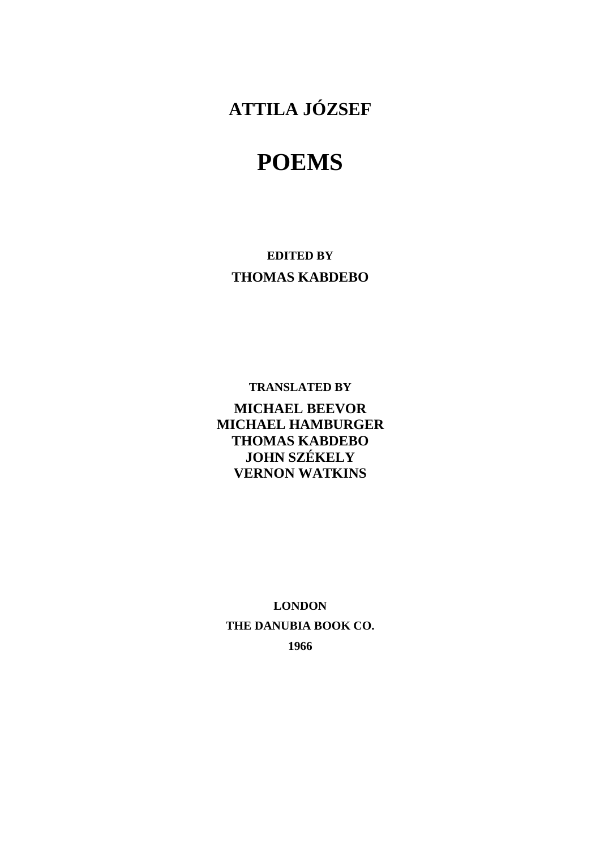**ATTILA JÓZSEF**

# **POEMS**

**EDITED BY THOMAS KABDEBO**

**TRANSLATED BY**

**MICHAEL BEEVOR MICHAEL HAMBURGER THOMAS KABDEBO JOHN SZÉKELY VERNON WATKINS**

**LONDON THE DANUBIA BOOK CO. 1966**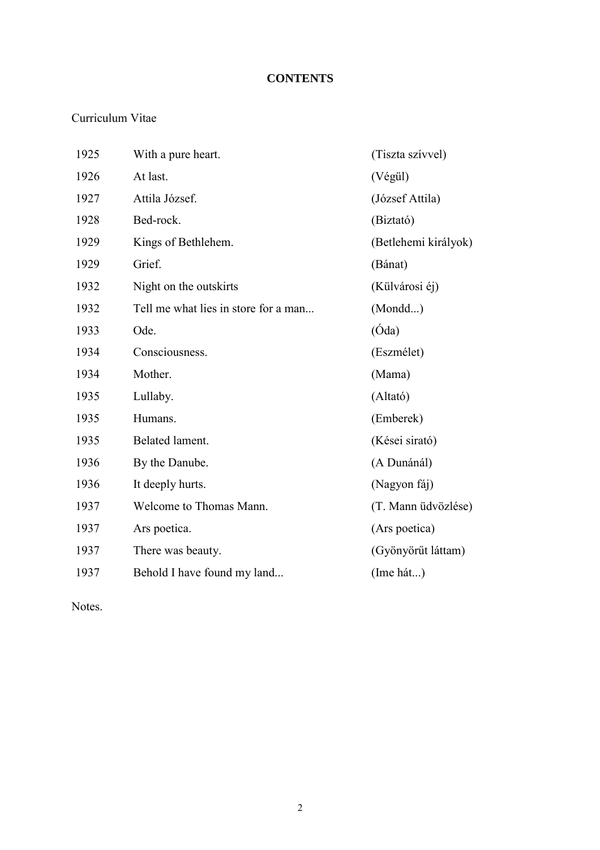# **CONTENTS**

# Curriculum Vitae

| With a pure heart.                   | (Tiszta szívvel)     |
|--------------------------------------|----------------------|
| At last.                             | (Végül)              |
| Attila József.                       | (József Attila)      |
| Bed-rock.                            | (Biztató)            |
| Kings of Bethlehem.                  | (Betlehemi királyok) |
| Grief.                               | (Bánat)              |
| Night on the outskirts               | (Külvárosi éj)       |
| Tell me what lies in store for a man | (Mondd)              |
| Ode.                                 | (Óda)                |
| Consciousness.                       | (Eszmélet)           |
| Mother.                              | (Mama)               |
| Lullaby.                             | (Altató)             |
| Humans.                              | (Emberek)            |
| Belated lament.                      | (Kései sirató)       |
| By the Danube.                       | (A Dunánál)          |
| It deeply hurts.                     | (Nagyon fáj)         |
| Welcome to Thomas Mann.              | (T. Mann üdvözlése)  |
| Ars poetica.                         | (Ars poetica)        |
| There was beauty.                    | (Gyönyörűt láttam)   |
| Behold I have found my land          | (Ime hát)            |
|                                      |                      |

Notes.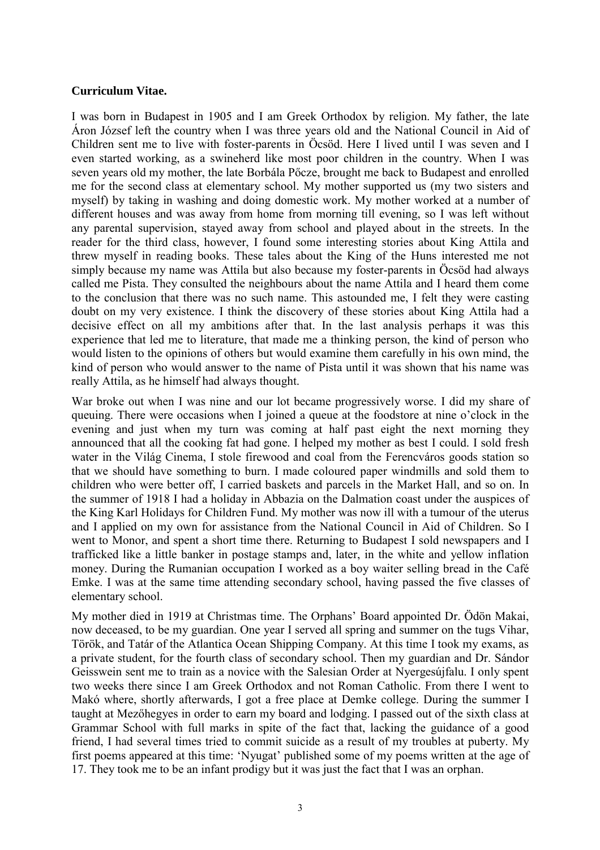#### **Curriculum Vitae.**

I was born in Budapest in 1905 and I am Greek Orthodox by religion. My father, the late Áron József left the country when I was three years old and the National Council in Aid of Children sent me to live with foster-parents in Öcsöd. Here I lived until I was seven and I even started working, as a swineherd like most poor children in the country. When I was seven years old my mother, the late Borbála Pőcze, brought me back to Budapest and enrolled me for the second class at elementary school. My mother supported us (my two sisters and myself) by taking in washing and doing domestic work. My mother worked at a number of different houses and was away from home from morning till evening, so I was left without any parental supervision, stayed away from school and played about in the streets. In the reader for the third class, however, I found some interesting stories about King Attila and threw myself in reading books. These tales about the King of the Huns interested me not simply because my name was Attila but also because my foster-parents in Öcsöd had always called me Pista. They consulted the neighbours about the name Attila and I heard them come to the conclusion that there was no such name. This astounded me, I felt they were casting doubt on my very existence. I think the discovery of these stories about King Attila had a decisive effect on all my ambitions after that. In the last analysis perhaps it was this experience that led me to literature, that made me a thinking person, the kind of person who would listen to the opinions of others but would examine them carefully in his own mind, the kind of person who would answer to the name of Pista until it was shown that his name was really Attila, as he himself had always thought.

War broke out when I was nine and our lot became progressively worse. I did my share of queuing. There were occasions when I joined a queue at the foodstore at nine o'clock in the evening and just when my turn was coming at half past eight the next morning they announced that all the cooking fat had gone. I helped my mother as best I could. I sold fresh water in the Világ Cinema, I stole firewood and coal from the Ferencváros goods station so that we should have something to burn. I made coloured paper windmills and sold them to children who were better off, I carried baskets and parcels in the Market Hall, and so on. In the summer of 1918 I had a holiday in Abbazia on the Dalmation coast under the auspices of the King Karl Holidays for Children Fund. My mother was now ill with a tumour of the uterus and I applied on my own for assistance from the National Council in Aid of Children. So I went to Monor, and spent a short time there. Returning to Budapest I sold newspapers and I trafficked like a little banker in postage stamps and, later, in the white and yellow inflation money. During the Rumanian occupation I worked as a boy waiter selling bread in the Café Emke. I was at the same time attending secondary school, having passed the five classes of elementary school.

My mother died in 1919 at Christmas time. The Orphans' Board appointed Dr. Ödön Makai, now deceased, to be my guardian. One year I served all spring and summer on the tugs Vihar, Török, and Tatár of the Atlantica Ocean Shipping Company. At this time I took my exams, as a private student, for the fourth class of secondary school. Then my guardian and Dr. Sándor Geisswein sent me to train as a novice with the Salesian Order at Nyergesújfalu. I only spent two weeks there since I am Greek Orthodox and not Roman Catholic. From there I went to Makó where, shortly afterwards, I got a free place at Demke college. During the summer I taught at Mezőhegyes in order to earn my board and lodging. I passed out of the sixth class at Grammar School with full marks in spite of the fact that, lacking the guidance of a good friend, I had several times tried to commit suicide as a result of my troubles at puberty. My first poems appeared at this time: 'Nyugat' published some of my poems written at the age of 17. They took me to be an infant prodigy but it was just the fact that I was an orphan.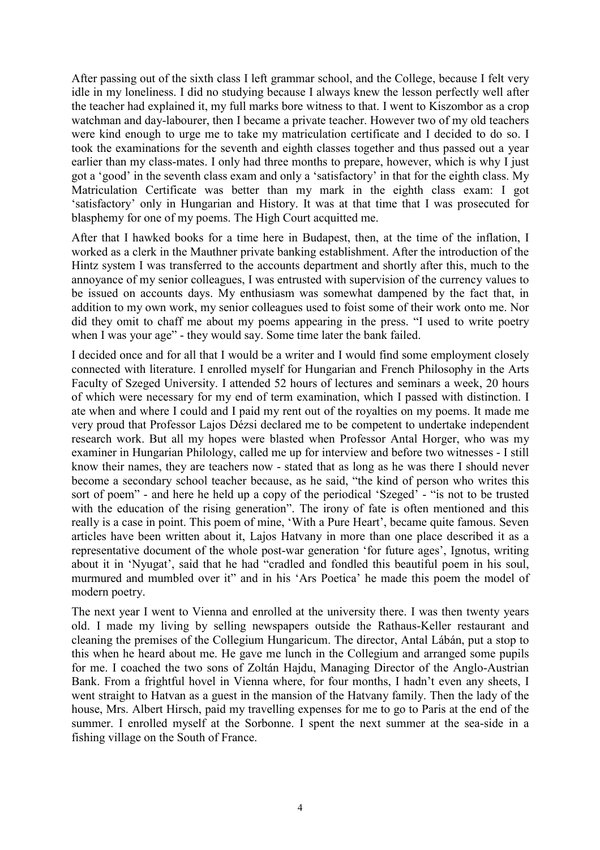After passing out of the sixth class I left grammar school, and the College, because I felt very idle in my loneliness. I did no studying because I always knew the lesson perfectly well after the teacher had explained it, my full marks bore witness to that. I went to Kiszombor as a crop watchman and day-labourer, then I became a private teacher. However two of my old teachers were kind enough to urge me to take my matriculation certificate and I decided to do so. I took the examinations for the seventh and eighth classes together and thus passed out a year earlier than my class-mates. I only had three months to prepare, however, which is why I just got a 'good' in the seventh class exam and only a 'satisfactory' in that for the eighth class. My Matriculation Certificate was better than my mark in the eighth class exam: I got 'satisfactory' only in Hungarian and History. It was at that time that I was prosecuted for blasphemy for one of my poems. The High Court acquitted me.

After that I hawked books for a time here in Budapest, then, at the time of the inflation, I worked as a clerk in the Mauthner private banking establishment. After the introduction of the Hintz system I was transferred to the accounts department and shortly after this, much to the annoyance of my senior colleagues, I was entrusted with supervision of the currency values to be issued on accounts days. My enthusiasm was somewhat dampened by the fact that, in addition to my own work, my senior colleagues used to foist some of their work onto me. Nor did they omit to chaff me about my poems appearing in the press. "I used to write poetry when I was your age" - they would say. Some time later the bank failed.

I decided once and for all that I would be a writer and I would find some employment closely connected with literature. I enrolled myself for Hungarian and French Philosophy in the Arts Faculty of Szeged University. I attended 52 hours of lectures and seminars a week, 20 hours of which were necessary for my end of term examination, which I passed with distinction. I ate when and where I could and I paid my rent out of the royalties on my poems. It made me very proud that Professor Lajos Dézsi declared me to be competent to undertake independent research work. But all my hopes were blasted when Professor Antal Horger, who was my examiner in Hungarian Philology, called me up for interview and before two witnesses - I still know their names, they are teachers now - stated that as long as he was there I should never become a secondary school teacher because, as he said, "the kind of person who writes this sort of poem" - and here he held up a copy of the periodical 'Szeged' - "is not to be trusted with the education of the rising generation". The irony of fate is often mentioned and this really is a case in point. This poem of mine, 'With a Pure Heart', became quite famous. Seven articles have been written about it, Lajos Hatvany in more than one place described it as a representative document of the whole post-war generation 'for future ages', Ignotus, writing about it in 'Nyugat', said that he had "cradled and fondled this beautiful poem in his soul, murmured and mumbled over it" and in his 'Ars Poetica' he made this poem the model of modern poetry.

The next year I went to Vienna and enrolled at the university there. I was then twenty years old. I made my living by selling newspapers outside the Rathaus-Keller restaurant and cleaning the premises of the Collegium Hungaricum. The director, Antal Lábán, put a stop to this when he heard about me. He gave me lunch in the Collegium and arranged some pupils for me. I coached the two sons of Zoltán Hajdu, Managing Director of the Anglo-Austrian Bank. From a frightful hovel in Vienna where, for four months, I hadn't even any sheets, I went straight to Hatvan as a guest in the mansion of the Hatvany family. Then the lady of the house, Mrs. Albert Hirsch, paid my travelling expenses for me to go to Paris at the end of the summer. I enrolled myself at the Sorbonne. I spent the next summer at the sea-side in a fishing village on the South of France.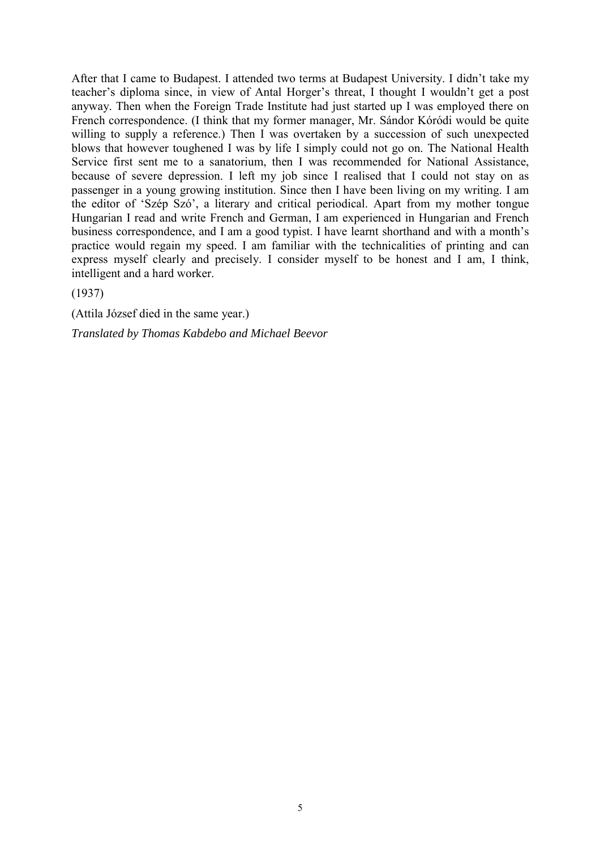After that I came to Budapest. I attended two terms at Budapest University. I didn't take my teacher's diploma since, in view of Antal Horger's threat, I thought I wouldn't get a post anyway. Then when the Foreign Trade Institute had just started up I was employed there on French correspondence. (I think that my former manager, Mr. Sándor Kóródi would be quite willing to supply a reference.) Then I was overtaken by a succession of such unexpected blows that however toughened I was by life I simply could not go on. The National Health Service first sent me to a sanatorium, then I was recommended for National Assistance, because of severe depression. I left my job since I realised that I could not stay on as passenger in a young growing institution. Since then I have been living on my writing. I am the editor of 'Szép Szó', a literary and critical periodical. Apart from my mother tongue Hungarian I read and write French and German, I am experienced in Hungarian and French business correspondence, and I am a good typist. I have learnt shorthand and with a month's practice would regain my speed. I am familiar with the technicalities of printing and can express myself clearly and precisely. I consider myself to be honest and I am, I think, intelligent and a hard worker.

(1937)

(Attila József died in the same year.)

*Translated by Thomas Kabdebo and Michael Beevor*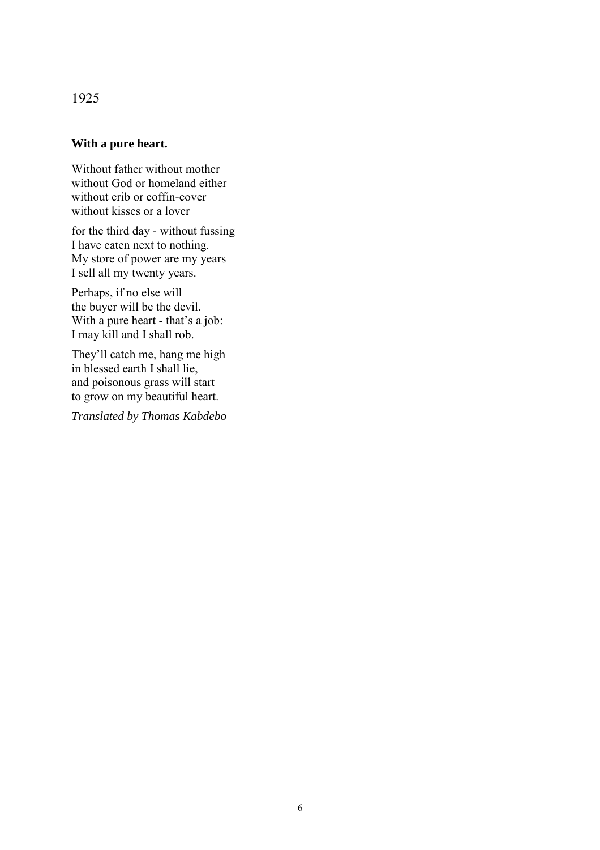### **With a pure heart.**

1925

Without father without mother without God or homeland either without crib or coffin-cover without kisses or a lover

for the third day - without fussing I have eaten next to nothing. My store of power are my years I sell all my twenty years.

Perhaps, if no else will the buyer will be the devil. With a pure heart - that's a job: I may kill and I shall rob.

They'll catch me, hang me high in blessed earth I shall lie, and poisonous grass will start to grow on my beautiful heart.

*Translated by Thomas Kabdebo*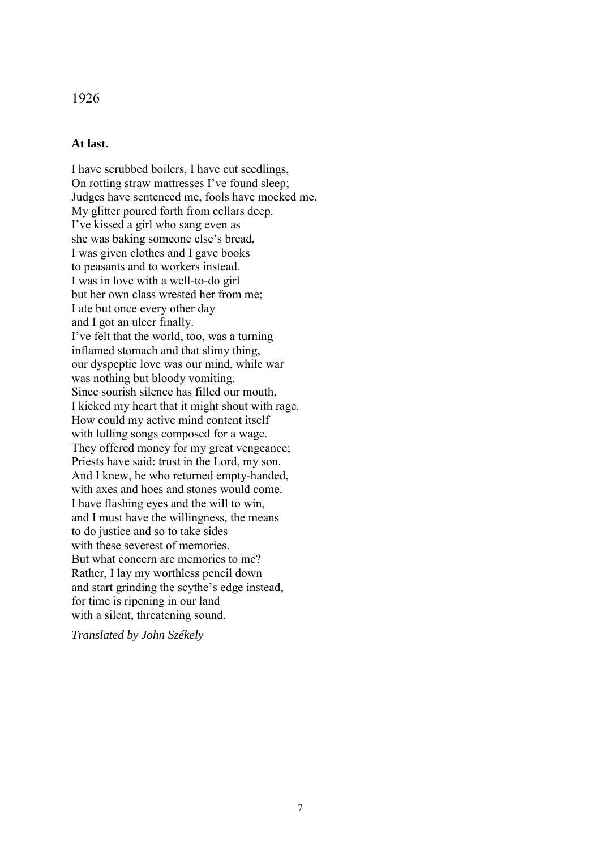#### **At last.**

I have scrubbed boilers, I have cut seedlings, On rotting straw mattresses I've found sleep; Judges have sentenced me, fools have mocked me, My glitter poured forth from cellars deep. I've kissed a girl who sang even as she was baking someone else's bread, I was given clothes and I gave books to peasants and to workers instead. I was in love with a well-to-do girl but her own class wrested her from me; I ate but once every other day and I got an ulcer finally. I've felt that the world, too, was a turning inflamed stomach and that slimy thing, our dyspeptic love was our mind, while war was nothing but bloody vomiting. Since sourish silence has filled our mouth, I kicked my heart that it might shout with rage. How could my active mind content itself with lulling songs composed for a wage. They offered money for my great vengeance; Priests have said: trust in the Lord, my son. And I knew, he who returned empty-handed, with axes and hoes and stones would come. I have flashing eyes and the will to win, and I must have the willingness, the means to do justice and so to take sides with these severest of memories. But what concern are memories to me? Rather, I lay my worthless pencil down and start grinding the scythe's edge instead, for time is ripening in our land with a silent, threatening sound.

*Translated by John Székely*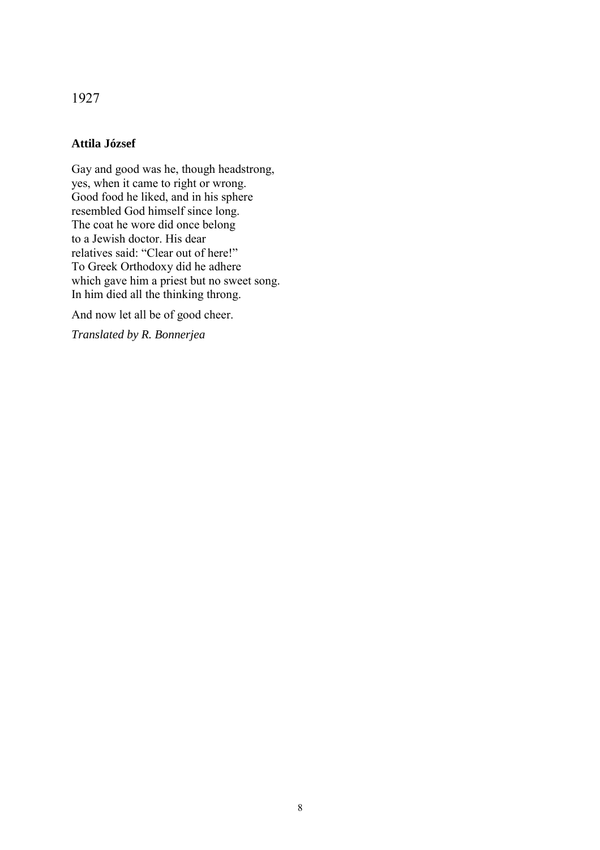#### **Attila József**

Gay and good was he, though headstrong, yes, when it came to right or wrong. Good food he liked, and in his sphere resembled God himself since long. The coat he wore did once belong to a Jewish doctor. His dear relatives said: "Clear out of here!" To Greek Orthodoxy did he adhere which gave him a priest but no sweet song. In him died all the thinking throng.

And now let all be of good cheer.

*Translated by R. Bonnerjea*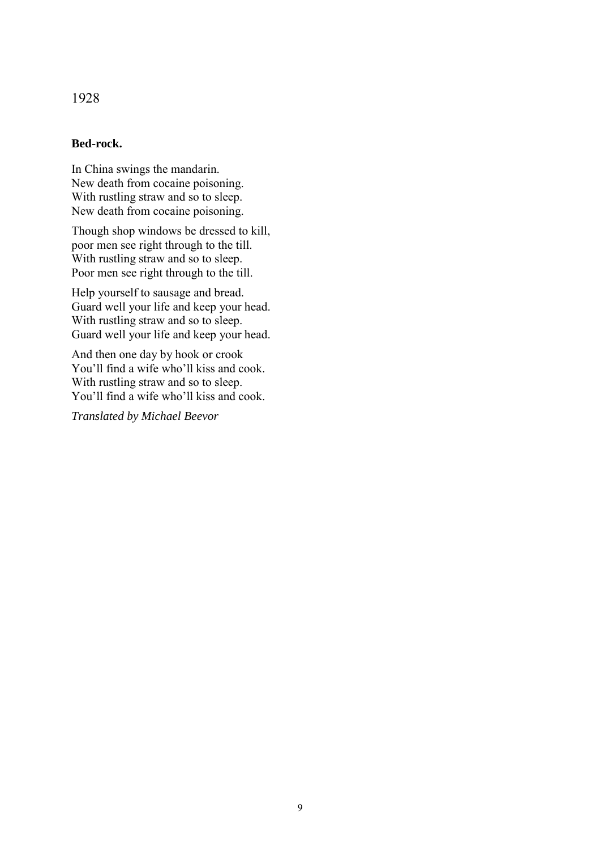#### **Bed-rock.**

In China swings the mandarin. New death from cocaine poisoning. With rustling straw and so to sleep. New death from cocaine poisoning.

Though shop windows be dressed to kill, poor men see right through to the till. With rustling straw and so to sleep. Poor men see right through to the till.

Help yourself to sausage and bread. Guard well your life and keep your head. With rustling straw and so to sleep. Guard well your life and keep your head.

And then one day by hook or crook You'll find a wife who'll kiss and cook. With rustling straw and so to sleep. You'll find a wife who'll kiss and cook.

*Translated by Michael Beevor*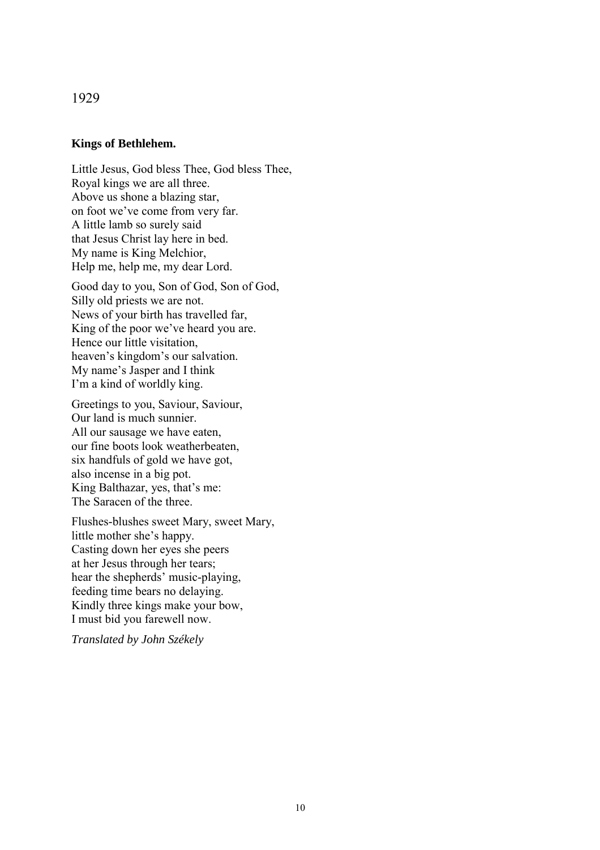#### **Kings of Bethlehem.**

Little Jesus, God bless Thee, God bless Thee, Royal kings we are all three. Above us shone a blazing star, on foot we've come from very far. A little lamb so surely said that Jesus Christ lay here in bed. My name is King Melchior, Help me, help me, my dear Lord.

Good day to you, Son of God, Son of God, Silly old priests we are not. News of your birth has travelled far, King of the poor we've heard you are. Hence our little visitation, heaven's kingdom's our salvation. My name's Jasper and I think I'm a kind of worldly king.

Greetings to you, Saviour, Saviour, Our land is much sunnier. All our sausage we have eaten, our fine boots look weatherbeaten, six handfuls of gold we have got, also incense in a big pot. King Balthazar, yes, that's me: The Saracen of the three.

Flushes-blushes sweet Mary, sweet Mary, little mother she's happy. Casting down her eyes she peers at her Jesus through her tears; hear the shepherds' music-playing, feeding time bears no delaying. Kindly three kings make your bow, I must bid you farewell now.

*Translated by John Székely*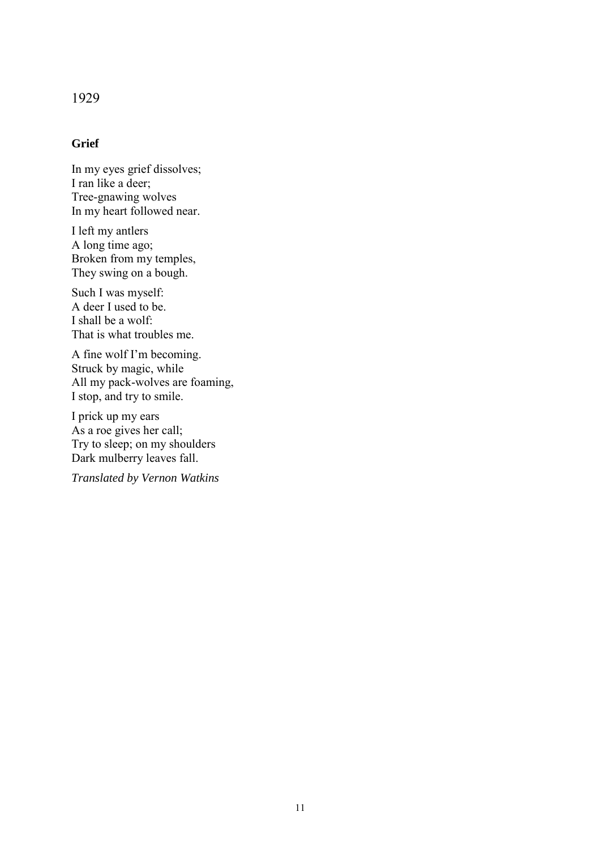#### **Grief**

In my eyes grief dissolves; I ran like a deer; Tree-gnawing wolves In my heart followed near.

I left my antlers A long time ago; Broken from my temples, They swing on a bough.

Such I was myself: A deer I used to be. I shall be a wolf: That is what troubles me.

A fine wolf I'm becoming. Struck by magic, while All my pack-wolves are foaming, I stop, and try to smile.

I prick up my ears As a roe gives her call; Try to sleep; on my shoulders Dark mulberry leaves fall.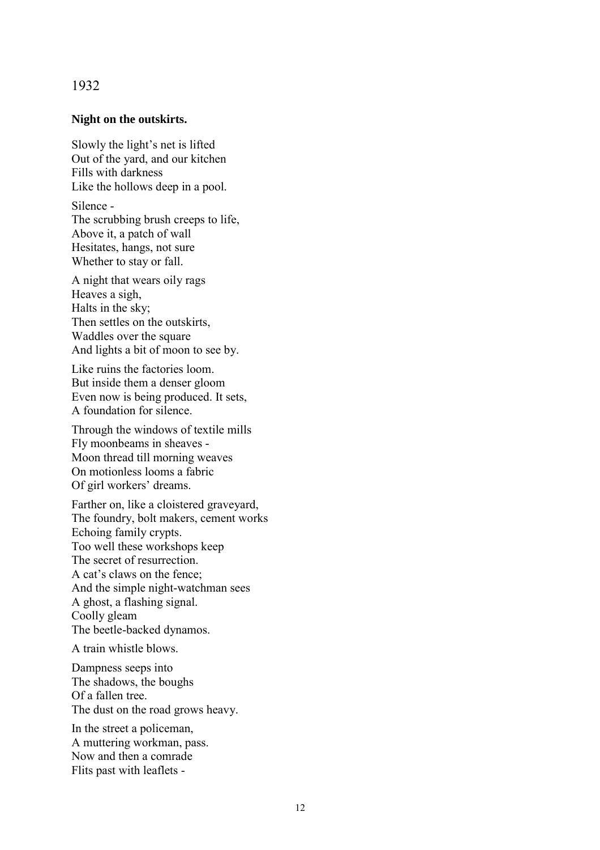#### **Night on the outskirts.**

Slowly the light's net is lifted Out of the yard, and our kitchen Fills with darkness Like the hollows deep in a pool.

Silence - The scrubbing brush creeps to life, Above it, a patch of wall Hesitates, hangs, not sure Whether to stay or fall.

A night that wears oily rags Heaves a sigh, Halts in the sky; Then settles on the outskirts, Waddles over the square And lights a bit of moon to see by.

Like ruins the factories loom. But inside them a denser gloom Even now is being produced. It sets, A foundation for silence.

Through the windows of textile mills Fly moonbeams in sheaves - Moon thread till morning weaves On motionless looms a fabric Of girl workers' dreams.

Farther on, like a cloistered graveyard, The foundry, bolt makers, cement works Echoing family crypts. Too well these workshops keep The secret of resurrection. A cat's claws on the fence; And the simple night-watchman sees A ghost, a flashing signal. Coolly gleam The beetle-backed dynamos.

A train whistle blows.

Dampness seeps into The shadows, the boughs Of a fallen tree. The dust on the road grows heavy.

In the street a policeman, A muttering workman, pass. Now and then a comrade Flits past with leaflets -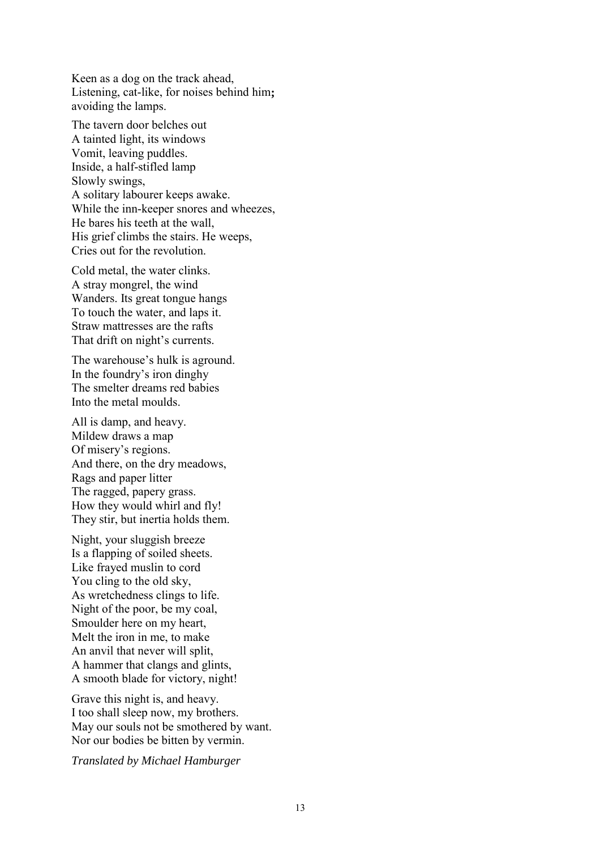Keen as a dog on the track ahead, Listening, cat-like, for noises behind him**;** avoiding the lamps.

The tavern door belches out A tainted light, its windows Vomit, leaving puddles. Inside, a half-stifled lamp Slowly swings, A solitary labourer keeps awake. While the inn-keeper snores and wheezes, He bares his teeth at the wall, His grief climbs the stairs. He weeps, Cries out for the revolution.

Cold metal, the water clinks. A stray mongrel, the wind Wanders. Its great tongue hangs To touch the water, and laps it. Straw mattresses are the rafts That drift on night's currents.

The warehouse's hulk is aground. In the foundry's iron dinghy The smelter dreams red babies Into the metal moulds.

All is damp, and heavy. Mildew draws a map Of misery's regions. And there, on the dry meadows, Rags and paper litter The ragged, papery grass. How they would whirl and fly! They stir, but inertia holds them.

Night, your sluggish breeze Is a flapping of soiled sheets. Like frayed muslin to cord You cling to the old sky, As wretchedness clings to life. Night of the poor, be my coal, Smoulder here on my heart, Melt the iron in me, to make An anvil that never will split, A hammer that clangs and glints, A smooth blade for victory, night!

Grave this night is, and heavy. I too shall sleep now, my brothers. May our souls not be smothered by want. Nor our bodies be bitten by vermin.

*Translated by Michael Hamburger*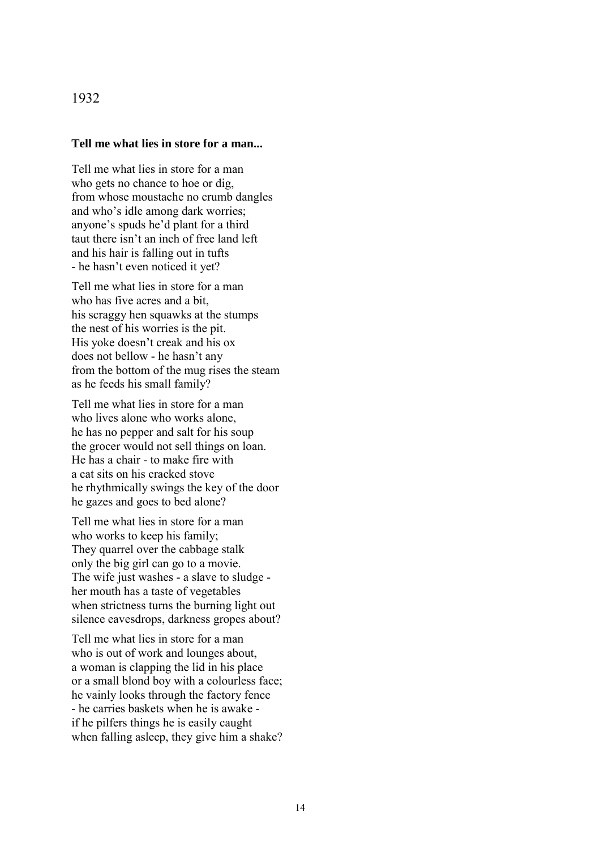#### **Tell me what lies in store for a man...**

Tell me what lies in store for a man who gets no chance to hoe or dig, from whose moustache no crumb dangles and who's idle among dark worries; anyone's spuds he'd plant for a third taut there isn't an inch of free land left and his hair is falling out in tufts - he hasn't even noticed it yet?

Tell me what lies in store for a man who has five acres and a bit. his scraggy hen squawks at the stumps the nest of his worries is the pit. His yoke doesn't creak and his ox does not bellow - he hasn't any from the bottom of the mug rises the steam as he feeds his small family?

Tell me what lies in store for a man who lives alone who works alone. he has no pepper and salt for his soup the grocer would not sell things on loan. He has a chair - to make fire with a cat sits on his cracked stove he rhythmically swings the key of the door he gazes and goes to bed alone?

Tell me what lies in store for a man who works to keep his family; They quarrel over the cabbage stalk only the big girl can go to a movie. The wife just washes - a slave to sludge her mouth has a taste of vegetables when strictness turns the burning light out silence eavesdrops, darkness gropes about?

Tell me what lies in store for a man who is out of work and lounges about, a woman is clapping the lid in his place or a small blond boy with a colourless face; he vainly looks through the factory fence - he carries baskets when he is awake if he pilfers things he is easily caught when falling asleep, they give him a shake?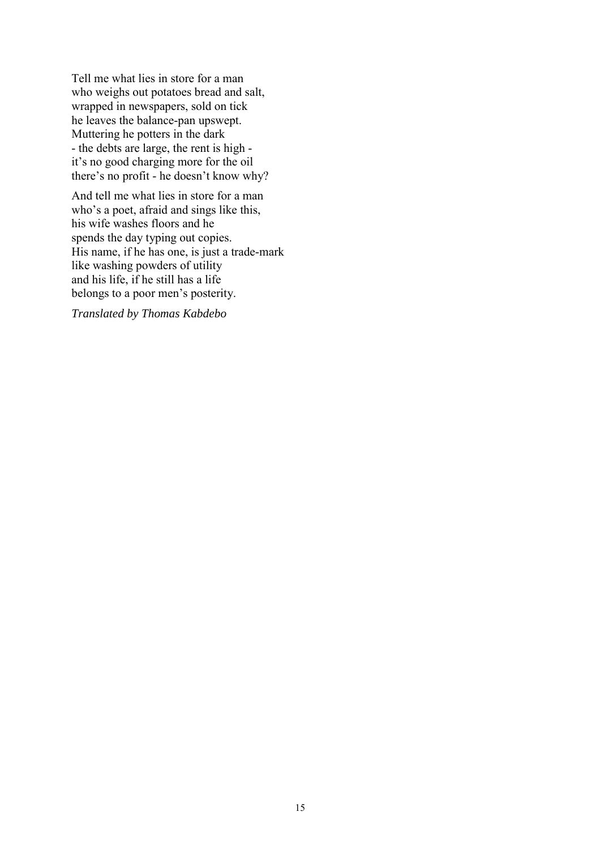Tell me what lies in store for a man who weighs out potatoes bread and salt, wrapped in newspapers, sold on tick he leaves the balance-pan upswept. Muttering he potters in the dark - the debts are large, the rent is high it's no good charging more for the oil there's no profit - he doesn't know why?

And tell me what lies in store for a man who's a poet, afraid and sings like this, his wife washes floors and he spends the day typing out copies. His name, if he has one, is just a trade-mark like washing powders of utility and his life, if he still has a life belongs to a poor men's posterity.

*Translated by Thomas Kabdebo*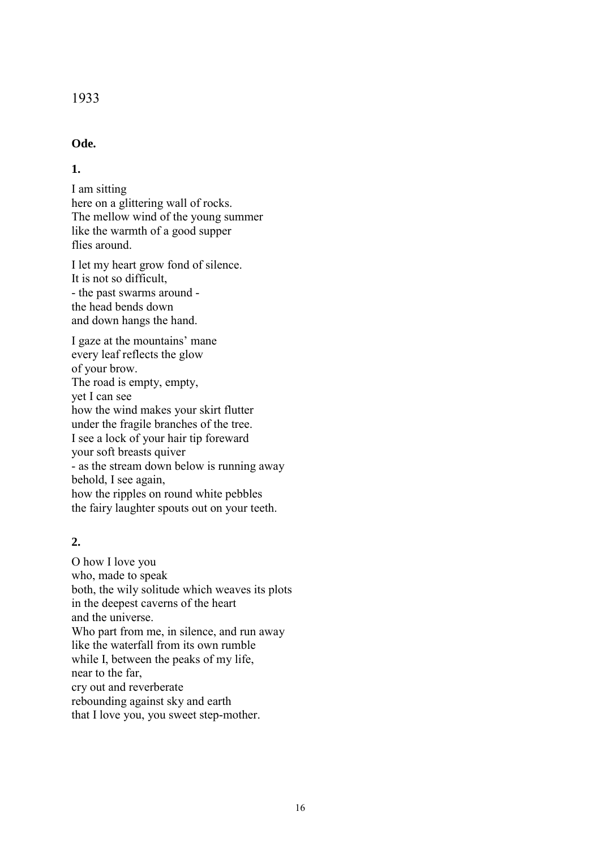O how I love you who, made to speak both, the wily solitude which weaves its plots in the deepest caverns of the heart and the universe. Who part from me, in silence, and run away like the waterfall from its own rumble while I, between the peaks of my life, near to the far, cry out and reverberate rebounding against sky and earth that I love you, you sweet step-mother.

# **Ode.**

1933

## **1.**

**2.**

I am sitting here on a glittering wall of rocks. The mellow wind of the young summer like the warmth of a good supper flies around.

I let my heart grow fond of silence. It is not so difficult, - the past swarms around the head bends down and down hangs the hand.

I gaze at the mountains' mane every leaf reflects the glow of your brow. The road is empty, empty, yet I can see how the wind makes your skirt flutter under the fragile branches of the tree. I see a lock of your hair tip foreward your soft breasts quiver - as the stream down below is running away behold, I see again, how the ripples on round white pebbles the fairy laughter spouts out on your teeth.

16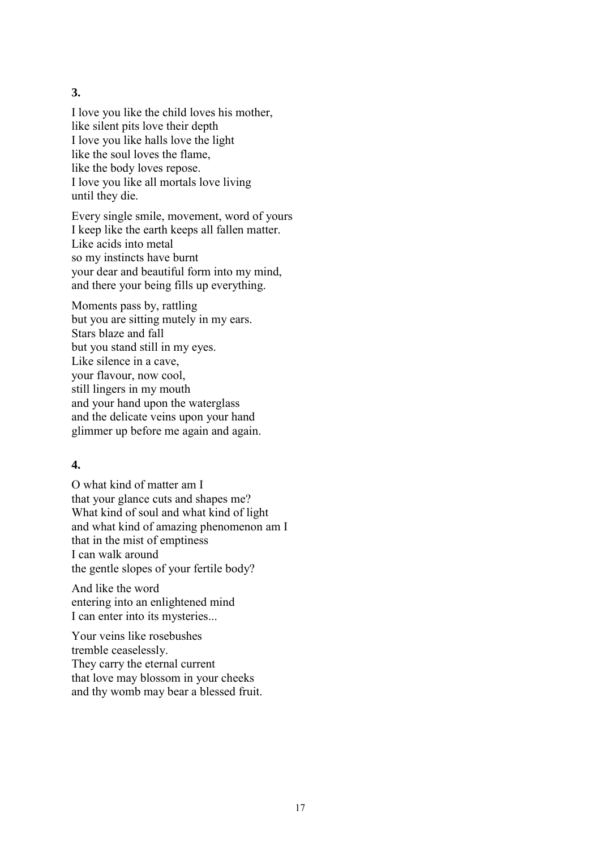#### **3.**

I love you like the child loves his mother, like silent pits love their depth I love you like halls love the light like the soul loves the flame, like the body loves repose. I love you like all mortals love living until they die.

Every single smile, movement, word of yours I keep like the earth keeps all fallen matter. Like acids into metal so my instincts have burnt your dear and beautiful form into my mind, and there your being fills up everything.

Moments pass by, rattling but you are sitting mutely in my ears. Stars blaze and fall but you stand still in my eyes. Like silence in a cave, your flavour, now cool, still lingers in my mouth and your hand upon the waterglass and the delicate veins upon your hand glimmer up before me again and again.

#### **4.**

O what kind of matter am I that your glance cuts and shapes me? What kind of soul and what kind of light and what kind of amazing phenomenon am I that in the mist of emptiness I can walk around the gentle slopes of your fertile body?

And like the word entering into an enlightened mind I can enter into its mysteries...

Your veins like rosebushes tremble ceaselessly. They carry the eternal current that love may blossom in your cheeks and thy womb may bear a blessed fruit.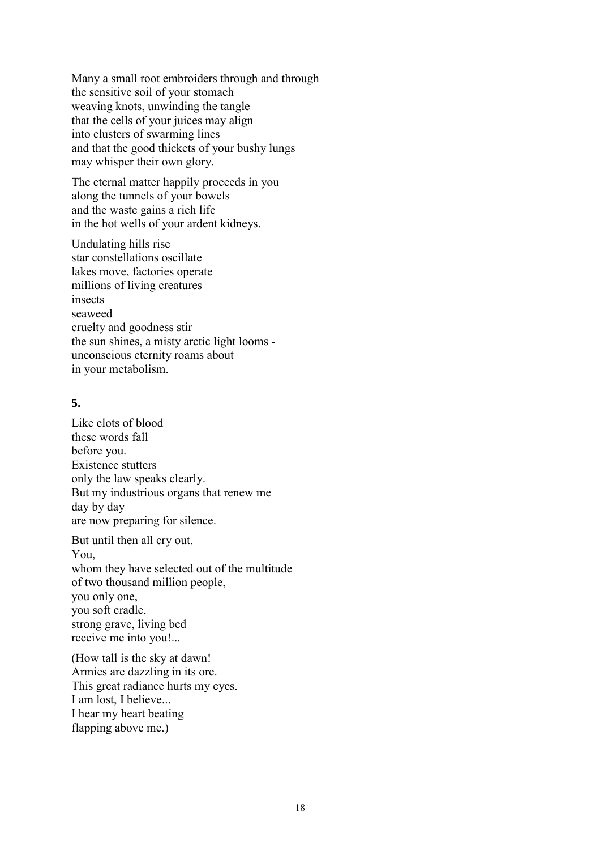Many a small root embroiders through and through the sensitive soil of your stomach weaving knots, unwinding the tangle that the cells of your juices may align into clusters of swarming lines and that the good thickets of your bushy lungs may whisper their own glory.

The eternal matter happily proceeds in you along the tunnels of your bowels and the waste gains a rich life in the hot wells of your ardent kidneys.

Undulating hills rise star constellations oscillate lakes move, factories operate millions of living creatures insects seaweed cruelty and goodness stir the sun shines, a misty arctic light looms unconscious eternity roams about in your metabolism.

#### **5.**

Like clots of blood these words fall before you. Existence stutters only the law speaks clearly. But my industrious organs that renew me day by day are now preparing for silence.

But until then all cry out. You, whom they have selected out of the multitude of two thousand million people, you only one, you soft cradle, strong grave, living bed receive me into you!...

(How tall is the sky at dawn! Armies are dazzling in its ore. This great radiance hurts my eyes. I am lost, I believe... I hear my heart beating flapping above me.)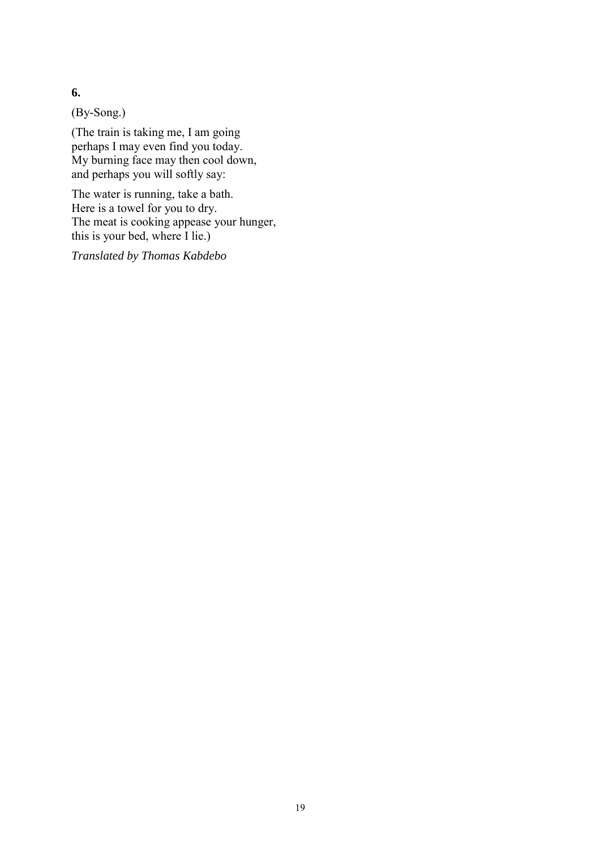**6.**

(By-Song.)

(The train is taking me, I am going perhaps I may even find you today. My burning face may then cool down, and perhaps you will softly say:

The water is running, take a bath. Here is a towel for you to dry. The meat is cooking appease your hunger, this is your bed, where I lie.)

*Translated by Thomas Kabdebo*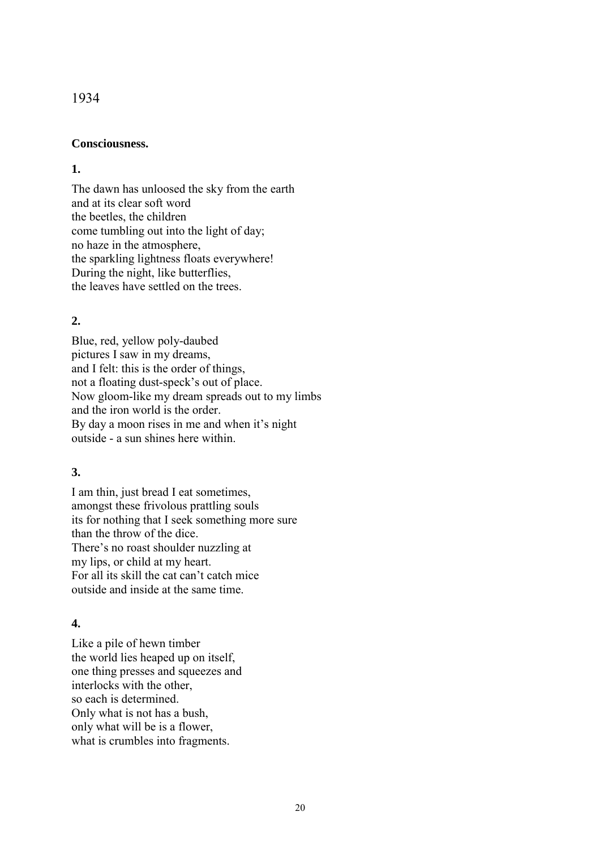#### **Consciousness.**

### **1.**

The dawn has unloosed the sky from the earth and at its clear soft word the beetles, the children come tumbling out into the light of day; no haze in the atmosphere, the sparkling lightness floats everywhere! During the night, like butterflies, the leaves have settled on the trees.

# **2.**

Blue, red, yellow poly-daubed pictures I saw in my dreams, and I felt: this is the order of things, not a floating dust-speck's out of place. Now gloom-like my dream spreads out to my limbs and the iron world is the order. By day a moon rises in me and when it's night outside - a sun shines here within.

# **3.**

I am thin, just bread I eat sometimes, amongst these frivolous prattling souls its for nothing that I seek something more sure than the throw of the dice. There's no roast shoulder nuzzling at my lips, or child at my heart. For all its skill the cat can't catch mice outside and inside at the same time.

# **4.**

Like a pile of hewn timber the world lies heaped up on itself, one thing presses and squeezes and interlocks with the other, so each is determined. Only what is not has a bush, only what will be is a flower, what is crumbles into fragments.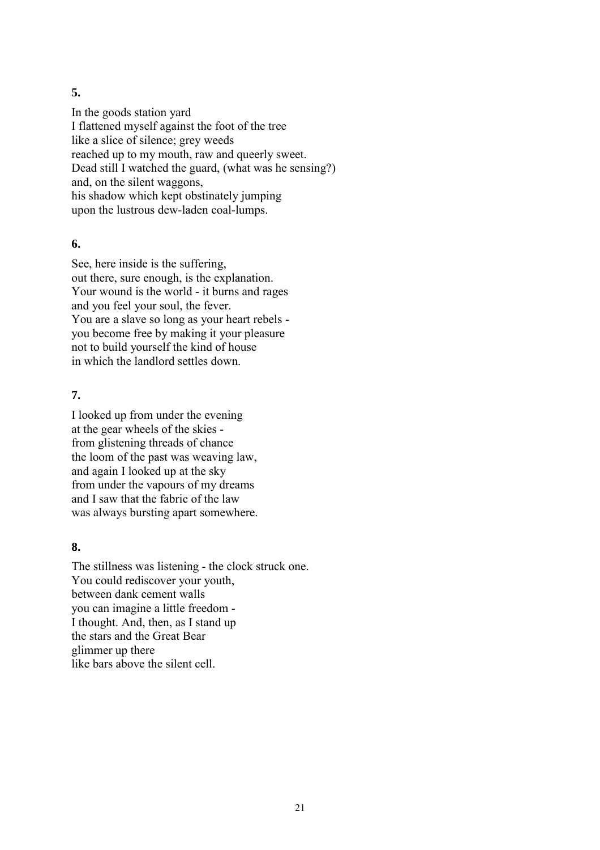#### **5.**

In the goods station yard I flattened myself against the foot of the tree like a slice of silence; grey weeds reached up to my mouth, raw and queerly sweet. Dead still I watched the guard, (what was he sensing?) and, on the silent waggons, his shadow which kept obstinately jumping upon the lustrous dew-laden coal-lumps.

#### **6.**

See, here inside is the suffering, out there, sure enough, is the explanation. Your wound is the world - it burns and rages and you feel your soul, the fever. You are a slave so long as your heart rebels you become free by making it your pleasure not to build yourself the kind of house in which the landlord settles down.

## **7.**

I looked up from under the evening at the gear wheels of the skies from glistening threads of chance the loom of the past was weaving law, and again I looked up at the sky from under the vapours of my dreams and I saw that the fabric of the law was always bursting apart somewhere.

# **8.**

The stillness was listening - the clock struck one. You could rediscover your youth, between dank cement walls you can imagine a little freedom - I thought. And, then, as I stand up the stars and the Great Bear glimmer up there like bars above the silent cell.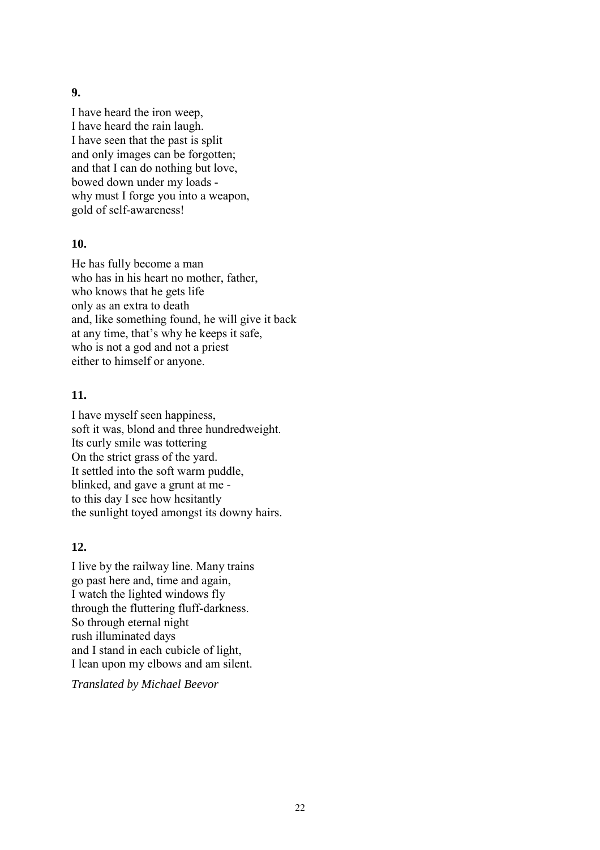#### **9.**

I have heard the iron weep, I have heard the rain laugh. I have seen that the past is split and only images can be forgotten; and that I can do nothing but love, bowed down under my loads why must I forge you into a weapon, gold of self-awareness!

#### **10.**

He has fully become a man who has in his heart no mother, father, who knows that he gets life only as an extra to death and, like something found, he will give it back at any time, that's why he keeps it safe, who is not a god and not a priest either to himself or anyone.

#### **11.**

I have myself seen happiness, soft it was, blond and three hundredweight. Its curly smile was tottering On the strict grass of the yard. It settled into the soft warm puddle, blinked, and gave a grunt at me to this day I see how hesitantly the sunlight toyed amongst its downy hairs.

### **12.**

I live by the railway line. Many trains go past here and, time and again, I watch the lighted windows fly through the fluttering fluff-darkness. So through eternal night rush illuminated days and I stand in each cubicle of light, I lean upon my elbows and am silent.

*Translated by Michael Beevor*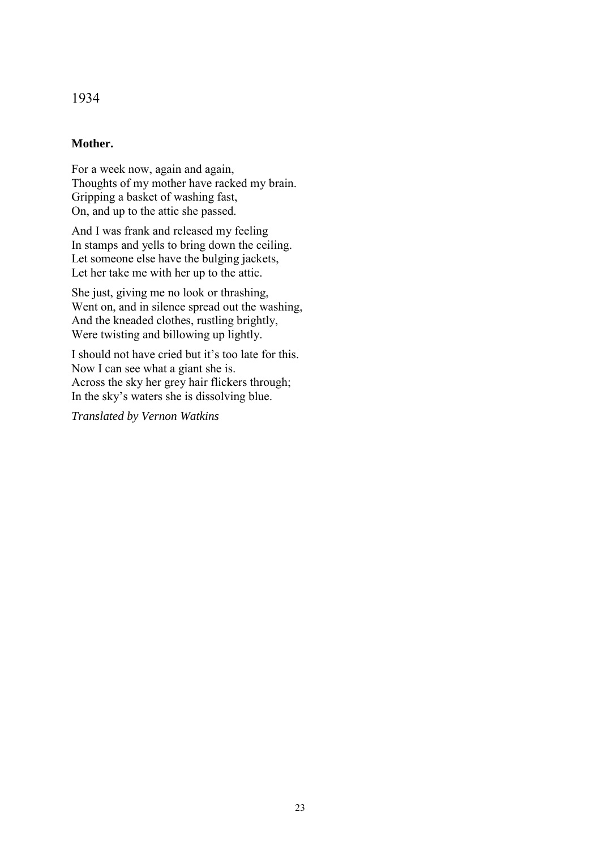# **Mother.**

1934

For a week now, again and again, Thoughts of my mother have racked my brain. Gripping a basket of washing fast, On, and up to the attic she passed.

And I was frank and released my feeling In stamps and yells to bring down the ceiling. Let someone else have the bulging jackets, Let her take me with her up to the attic.

She just, giving me no look or thrashing, Went on, and in silence spread out the washing, And the kneaded clothes, rustling brightly, Were twisting and billowing up lightly.

I should not have cried but it's too late for this. Now I can see what a giant she is. Across the sky her grey hair flickers through; In the sky's waters she is dissolving blue.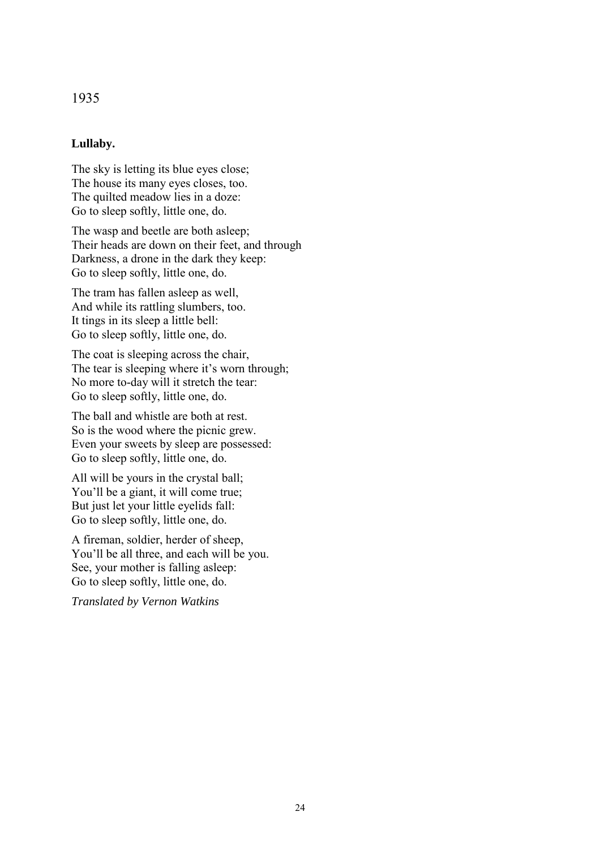# **Lullaby.**

1935

The sky is letting its blue eyes close; The house its many eyes closes, too. The quilted meadow lies in a doze: Go to sleep softly, little one, do.

The wasp and beetle are both asleep; Their heads are down on their feet, and through Darkness, a drone in the dark they keep: Go to sleep softly, little one, do.

The tram has fallen asleep as well, And while its rattling slumbers, too. It tings in its sleep a little bell: Go to sleep softly, little one, do.

The coat is sleeping across the chair, The tear is sleeping where it's worn through; No more to-day will it stretch the tear: Go to sleep softly, little one, do.

The ball and whistle are both at rest. So is the wood where the picnic grew. Even your sweets by sleep are possessed: Go to sleep softly, little one, do.

All will be yours in the crystal ball; You'll be a giant, it will come true; But just let your little eyelids fall: Go to sleep softly, little one, do.

A fireman, soldier, herder of sheep, You'll be all three, and each will be you. See, your mother is falling asleep: Go to sleep softly, little one, do.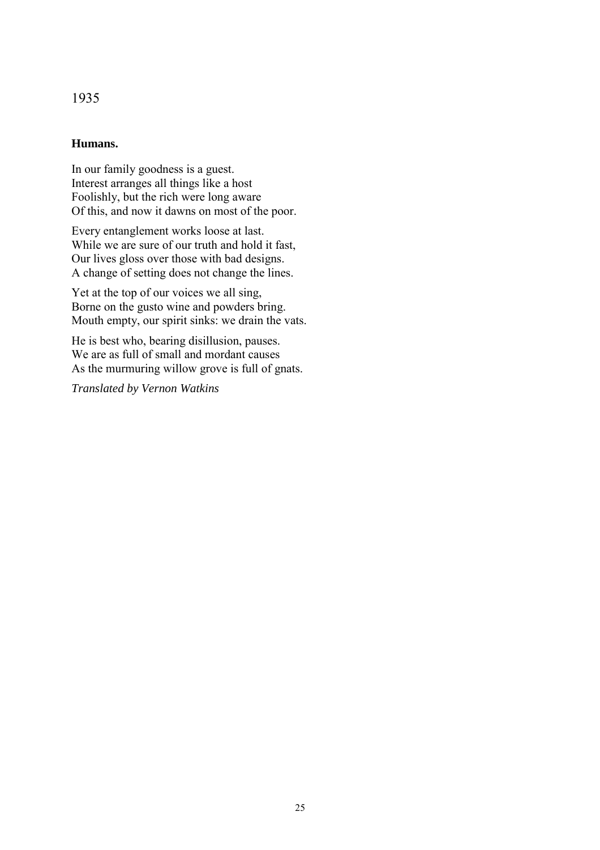#### **Humans.**

In our family goodness is a guest. Interest arranges all things like a host Foolishly, but the rich were long aware Of this, and now it dawns on most of the poor.

Every entanglement works loose at last. While we are sure of our truth and hold it fast, Our lives gloss over those with bad designs. A change of setting does not change the lines.

Yet at the top of our voices we all sing, Borne on the gusto wine and powders bring. Mouth empty, our spirit sinks: we drain the vats.

He is best who, bearing disillusion, pauses. We are as full of small and mordant causes As the murmuring willow grove is full of gnats.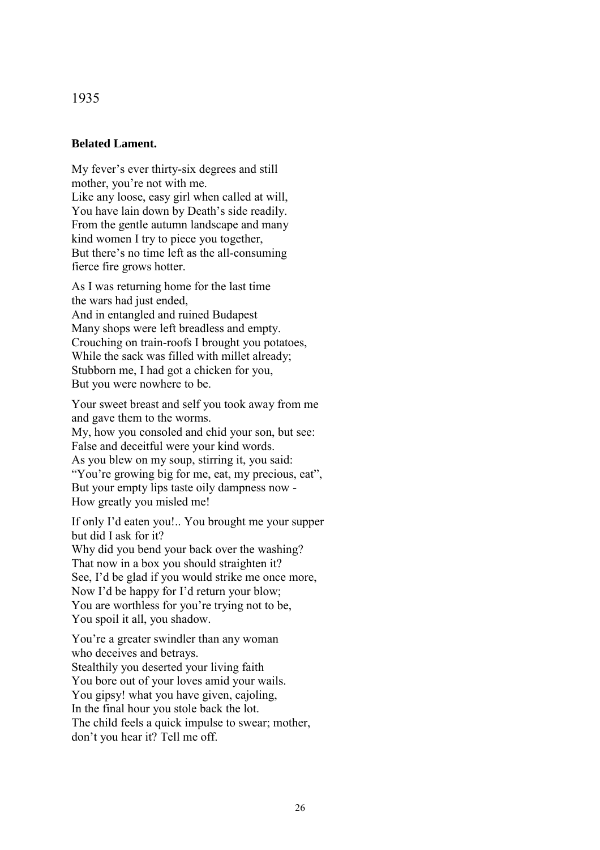#### **Belated Lament.**

My fever's ever thirty-six degrees and still mother, you're not with me. Like any loose, easy girl when called at will, You have lain down by Death's side readily. From the gentle autumn landscape and many kind women I try to piece you together, But there's no time left as the all-consuming fierce fire grows hotter.

As I was returning home for the last time the wars had just ended, And in entangled and ruined Budapest Many shops were left breadless and empty. Crouching on train-roofs I brought you potatoes, While the sack was filled with millet already; Stubborn me, I had got a chicken for you, But you were nowhere to be.

Your sweet breast and self you took away from me and gave them to the worms. My, how you consoled and chid your son, but see: False and deceitful were your kind words. As you blew on my soup, stirring it, you said: "You're growing big for me, eat, my precious, eat", But your empty lips taste oily dampness now - How greatly you misled me!

If only I'd eaten you!.. You brought me your supper but did I ask for it?

Why did you bend your back over the washing? That now in a box you should straighten it? See, I'd be glad if you would strike me once more, Now I'd be happy for I'd return your blow; You are worthless for you're trying not to be, You spoil it all, you shadow.

You're a greater swindler than any woman who deceives and betrays. Stealthily you deserted your living faith You bore out of your loves amid your wails. You gipsy! what you have given, cajoling, In the final hour you stole back the lot. The child feels a quick impulse to swear; mother, don't you hear it? Tell me off.

# 1935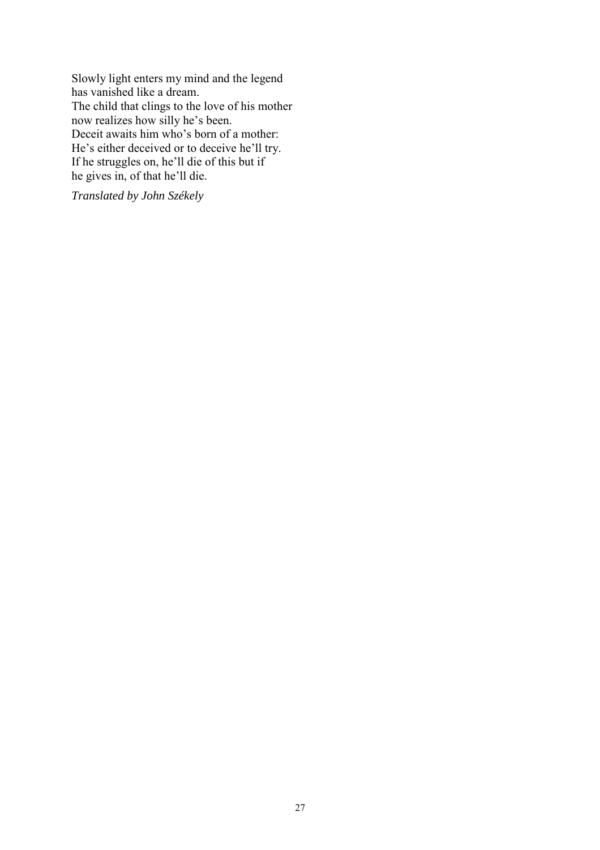Slowly light enters my mind and the legend has vanished like a dream. The child that clings to the love of his mother now realizes how silly he's been. Deceit awaits him who's born of a mother: He's either deceived or to deceive he'll try. If he struggles on, he'll die of this but if he gives in, of that he'll die.

*Translated by John Székely*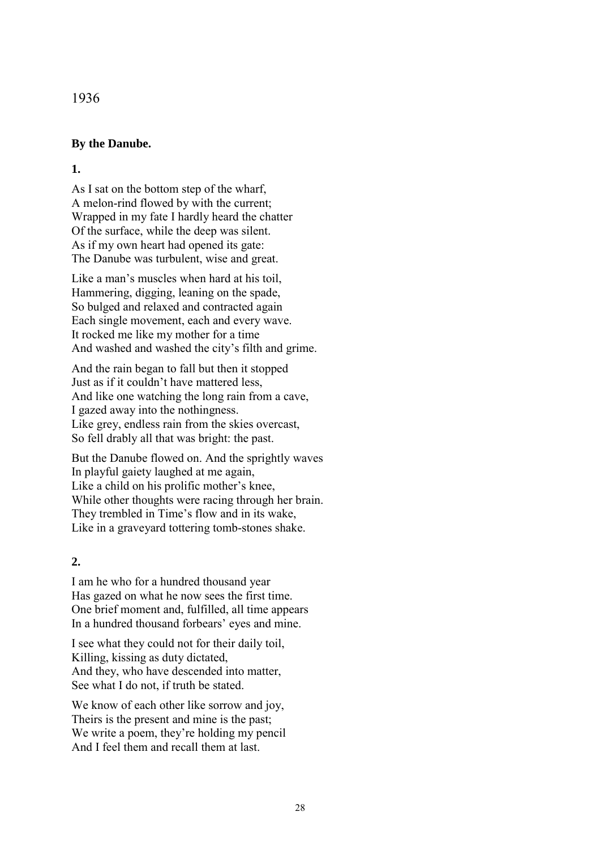#### **By the Danube.**

#### **1.**

As I sat on the bottom step of the wharf, A melon-rind flowed by with the current; Wrapped in my fate I hardly heard the chatter Of the surface, while the deep was silent. As if my own heart had opened its gate: The Danube was turbulent, wise and great.

Like a man's muscles when hard at his toil, Hammering, digging, leaning on the spade, So bulged and relaxed and contracted again Each single movement, each and every wave. It rocked me like my mother for a time And washed and washed the city's filth and grime.

And the rain began to fall but then it stopped Just as if it couldn't have mattered less, And like one watching the long rain from a cave, I gazed away into the nothingness. Like grey, endless rain from the skies overcast, So fell drably all that was bright: the past.

But the Danube flowed on. And the sprightly waves In playful gaiety laughed at me again, Like a child on his prolific mother's knee, While other thoughts were racing through her brain. They trembled in Time's flow and in its wake, Like in a graveyard tottering tomb-stones shake.

# **2.**

I am he who for a hundred thousand year Has gazed on what he now sees the first time. One brief moment and, fulfilled, all time appears In a hundred thousand forbears' eyes and mine.

I see what they could not for their daily toil, Killing, kissing as duty dictated, And they, who have descended into matter, See what I do not, if truth be stated.

We know of each other like sorrow and joy, Theirs is the present and mine is the past; We write a poem, they're holding my pencil And I feel them and recall them at last.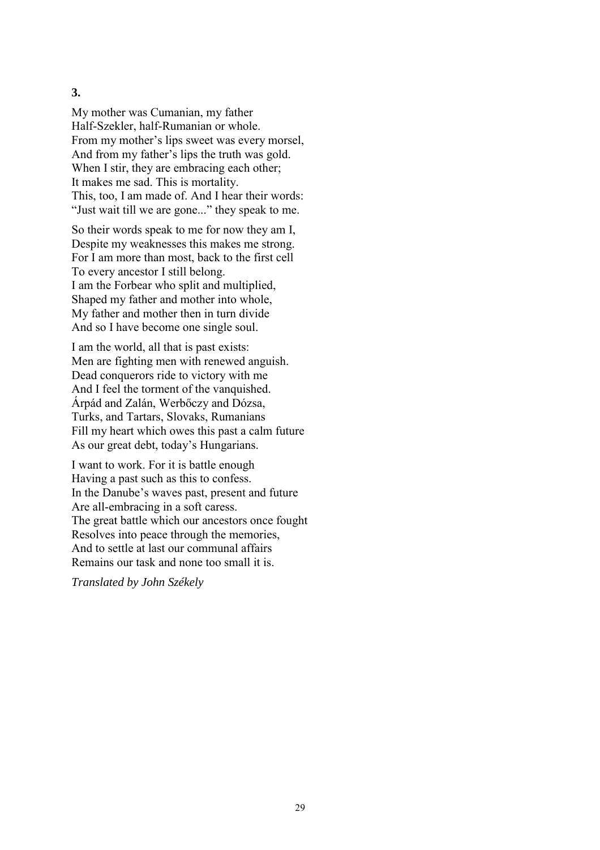#### **3.**

My mother was Cumanian, my father Half-Szekler, half-Rumanian or whole. From my mother's lips sweet was every morsel, And from my father's lips the truth was gold. When I stir, they are embracing each other; It makes me sad. This is mortality. This, too, I am made of. And I hear their words: "Just wait till we are gone..." they speak to me.

So their words speak to me for now they am I, Despite my weaknesses this makes me strong. For I am more than most, back to the first cell To every ancestor I still belong. I am the Forbear who split and multiplied, Shaped my father and mother into whole, My father and mother then in turn divide And so I have become one single soul.

I am the world, all that is past exists: Men are fighting men with renewed anguish. Dead conquerors ride to victory with me And I feel the torment of the vanquished. Árpád and Zalán, Werbőczy and Dózsa, Turks, and Tartars, Slovaks, Rumanians Fill my heart which owes this past a calm future As our great debt, today's Hungarians.

I want to work. For it is battle enough Having a past such as this to confess. In the Danube's waves past, present and future Are all-embracing in a soft caress. The great battle which our ancestors once fought Resolves into peace through the memories, And to settle at last our communal affairs Remains our task and none too small it is.

*Translated by John Székely*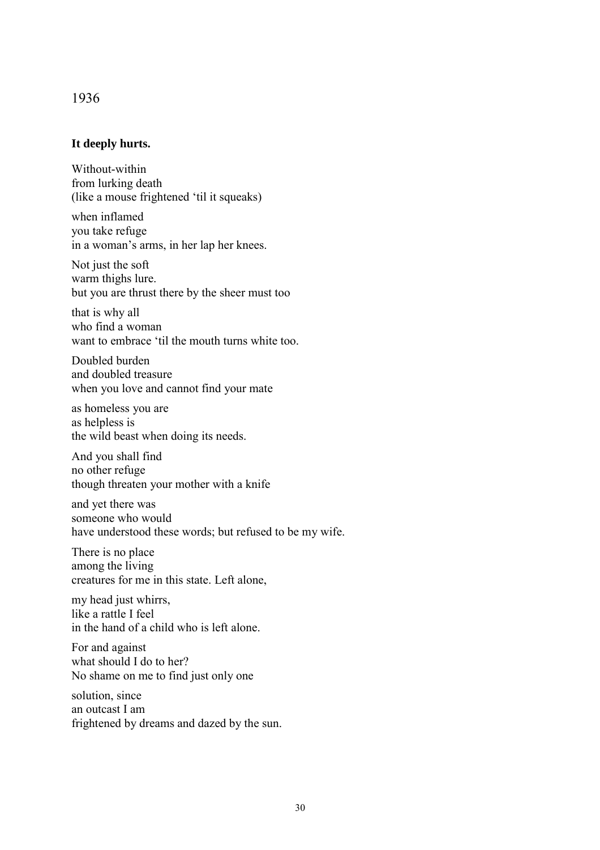#### **It deeply hurts.**

Without-within from lurking death (like a mouse frightened 'til it squeaks)

when inflamed you take refuge in a woman's arms, in her lap her knees.

Not just the soft warm thighs lure. but you are thrust there by the sheer must too

that is why all who find a woman want to embrace 'til the mouth turns white too.

Doubled burden and doubled treasure when you love and cannot find your mate

as homeless you are as helpless is the wild beast when doing its needs.

And you shall find no other refuge though threaten your mother with a knife

and yet there was someone who would have understood these words; but refused to be my wife.

There is no place among the living creatures for me in this state. Left alone,

my head just whirrs, like a rattle I feel in the hand of a child who is left alone.

For and against what should I do to her? No shame on me to find just only one

solution, since an outcast I am frightened by dreams and dazed by the sun.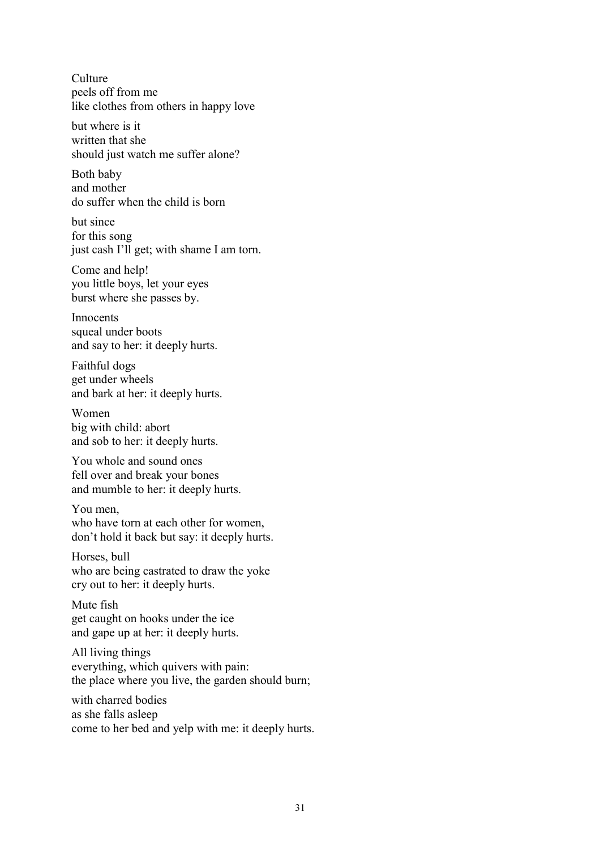**Culture** peels off from me like clothes from others in happy love

but where is it written that she should just watch me suffer alone?

Both baby and mother do suffer when the child is born

but since for this song just cash I'll get; with shame I am torn.

Come and help! you little boys, let your eyes burst where she passes by.

**Innocents** squeal under boots and say to her: it deeply hurts.

Faithful dogs get under wheels and bark at her: it deeply hurts.

Women big with child: abort and sob to her: it deeply hurts.

You whole and sound ones fell over and break your bones and mumble to her: it deeply hurts.

You men, who have torn at each other for women, don't hold it back but say: it deeply hurts.

Horses, bull who are being castrated to draw the yoke cry out to her: it deeply hurts.

Mute fish get caught on hooks under the ice and gape up at her: it deeply hurts.

All living things everything, which quivers with pain: the place where you live, the garden should burn;

with charred bodies as she falls asleep come to her bed and yelp with me: it deeply hurts.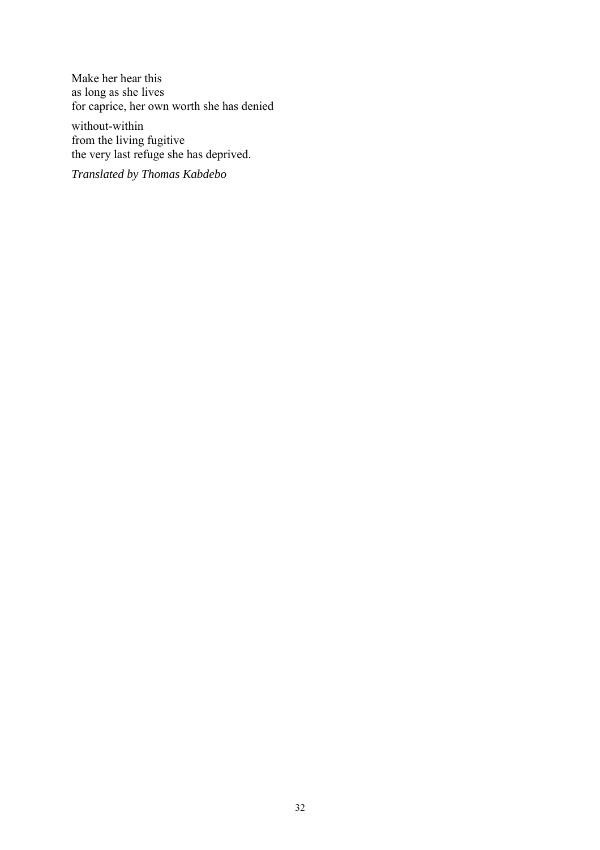Make her hear this as long as she lives for caprice, her own worth she has denied

without-within from the living fugitive the very last refuge she has deprived.

*Translated by Thomas Kabdebo*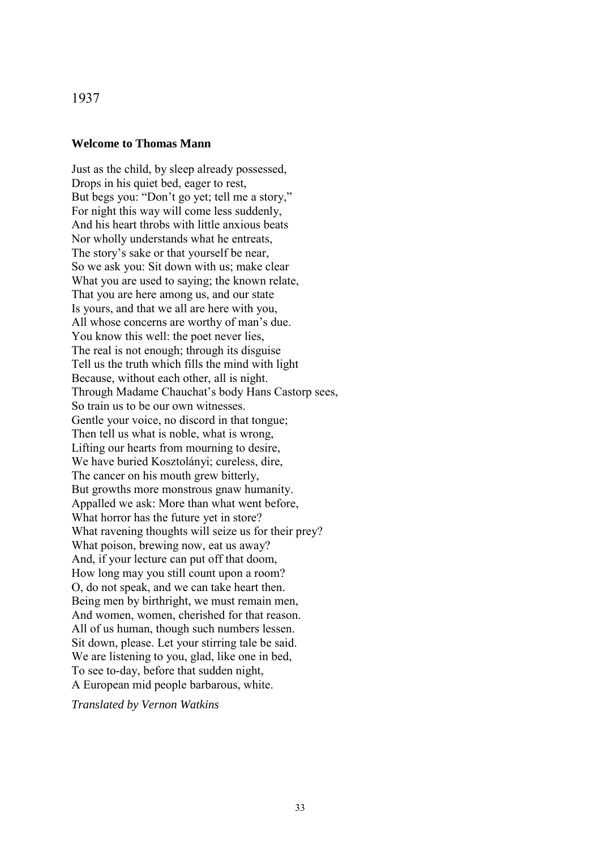#### **Welcome to Thomas Mann**

Just as the child, by sleep already possessed, Drops in his quiet bed, eager to rest, But begs you: "Don't go yet; tell me a story," For night this way will come less suddenly, And his heart throbs with little anxious beats Nor wholly understands what he entreats, The story's sake or that yourself be near, So we ask you: Sit down with us; make clear What you are used to saying; the known relate, That you are here among us, and our state Is yours, and that we all are here with you, All whose concerns are worthy of man's due. You know this well: the poet never lies, The real is not enough; through its disguise Tell us the truth which fills the mind with light Because, without each other, all is night. Through Madame Chauchat's body Hans Castorp sees, So train us to be our own witnesses. Gentle your voice, no discord in that tongue; Then tell us what is noble, what is wrong, Lifting our hearts from mourning to desire, We have buried Kosztolányi; cureless, dire, The cancer on his mouth grew bitterly, But growths more monstrous gnaw humanity. Appalled we ask: More than what went before, What horror has the future yet in store? What ravening thoughts will seize us for their prey? What poison, brewing now, eat us away? And, if your lecture can put off that doom, How long may you still count upon a room? O, do not speak, and we can take heart then. Being men by birthright, we must remain men, And women, women, cherished for that reason. All of us human, though such numbers lessen. Sit down, please. Let your stirring tale be said. We are listening to you, glad, like one in bed, To see to-day, before that sudden night, A European mid people barbarous, white.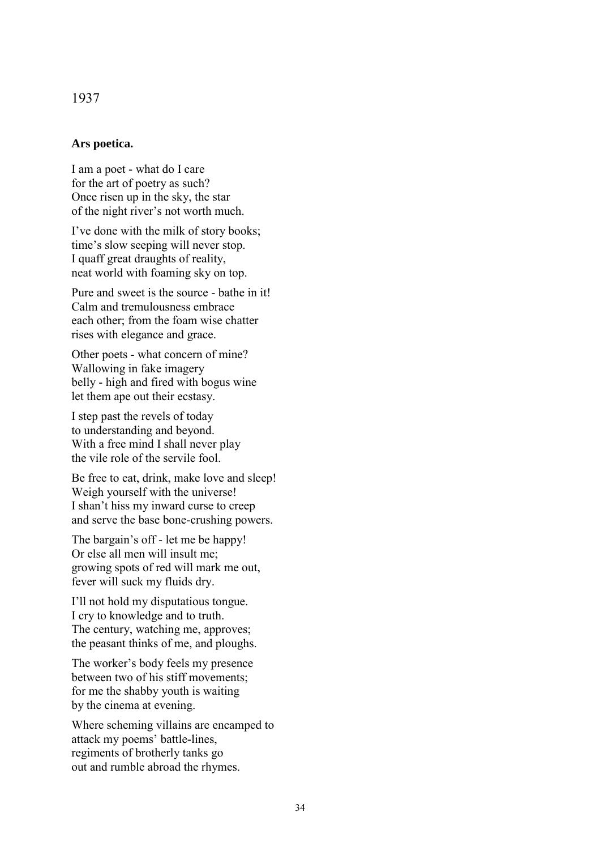#### **Ars poetica.**

I am a poet - what do I care for the art of poetry as such? Once risen up in the sky, the star of the night river's not worth much.

I've done with the milk of story books; time's slow seeping will never stop. I quaff great draughts of reality, neat world with foaming sky on top.

Pure and sweet is the source - bathe in it! Calm and tremulousness embrace each other; from the foam wise chatter rises with elegance and grace.

Other poets - what concern of mine? Wallowing in fake imagery belly - high and fired with bogus wine let them ape out their ecstasy.

I step past the revels of today to understanding and beyond. With a free mind I shall never play the vile role of the servile fool.

Be free to eat, drink, make love and sleep! Weigh yourself with the universe! I shan't hiss my inward curse to creep and serve the base bone-crushing powers.

The bargain's off - let me be happy! Or else all men will insult me; growing spots of red will mark me out, fever will suck my fluids dry.

I'll not hold my disputatious tongue. I cry to knowledge and to truth. The century, watching me, approves; the peasant thinks of me, and ploughs.

The worker's body feels my presence between two of his stiff movements; for me the shabby youth is waiting by the cinema at evening.

Where scheming villains are encamped to attack my poems' battle-lines, regiments of brotherly tanks go out and rumble abroad the rhymes.

1937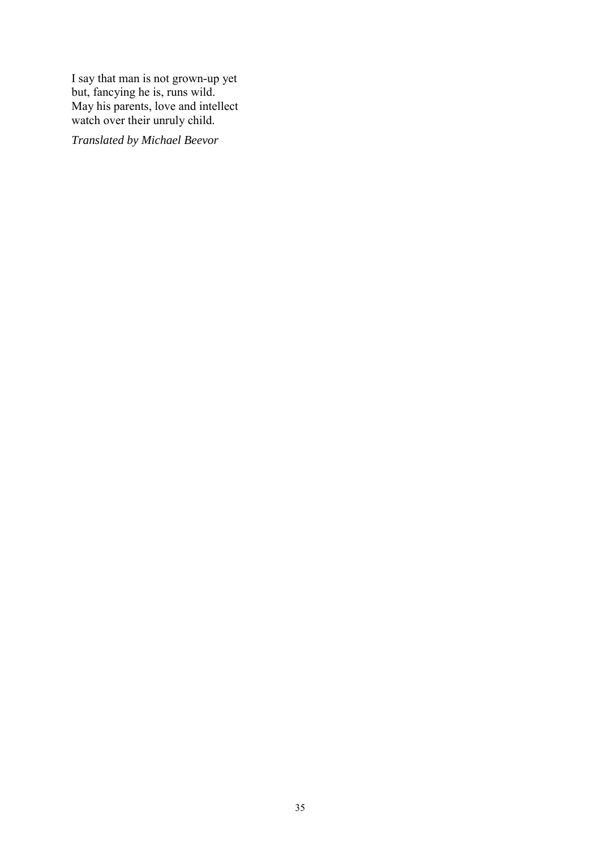I say that man is not grown-up yet but, fancying he is, runs wild. May his parents, love and intellect watch over their unruly child.

*Translated by Michael Beevor*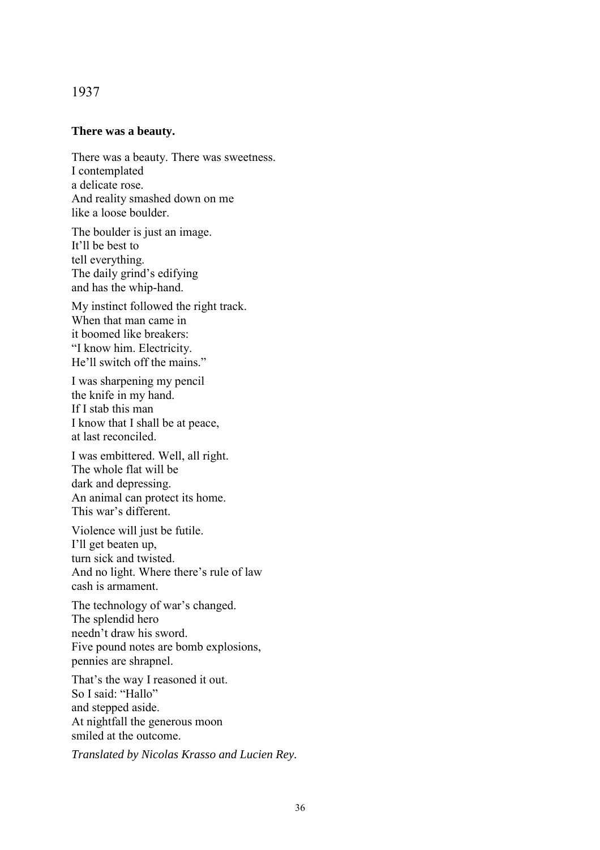#### **There was a beauty.**

There was a beauty. There was sweetness. I contemplated a delicate rose. And reality smashed down on me like a loose boulder.

The boulder is just an image. It'll be best to tell everything. The daily grind's edifying and has the whip-hand.

My instinct followed the right track. When that man came in it boomed like breakers: "I know him. Electricity. He'll switch off the mains."

I was sharpening my pencil the knife in my hand. If I stab this man I know that I shall be at peace, at last reconciled.

I was embittered. Well, all right. The whole flat will be dark and depressing. An animal can protect its home. This war's different.

Violence will just be futile. I'll get beaten up, turn sick and twisted. And no light. Where there's rule of law cash is armament.

The technology of war's changed. The splendid hero needn't draw his sword. Five pound notes are bomb explosions, pennies are shrapnel.

That's the way I reasoned it out. So I said: "Hallo" and stepped aside. At nightfall the generous moon smiled at the outcome.

*Translated by Nicolas Krasso and Lucien Rey.*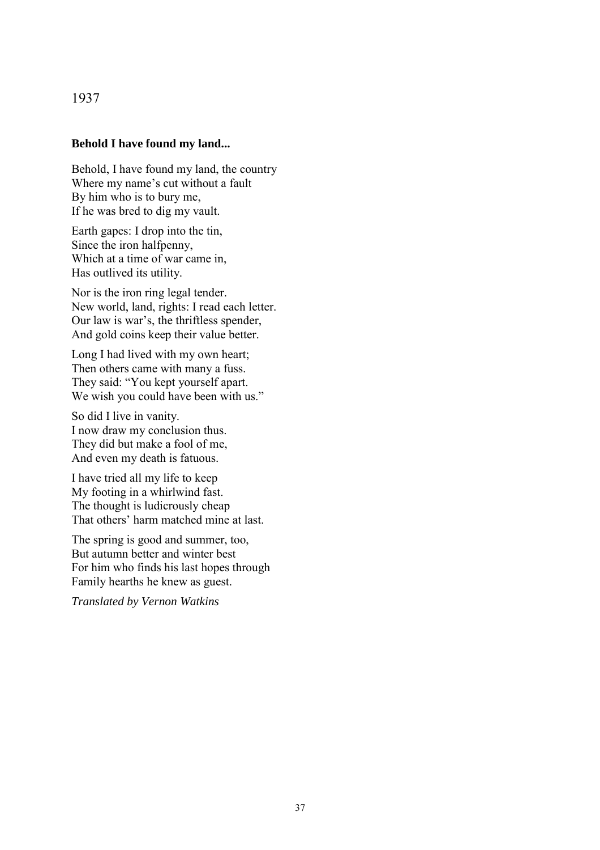#### **Behold I have found my land...**

Behold, I have found my land, the country Where my name's cut without a fault By him who is to bury me, If he was bred to dig my vault.

Earth gapes: I drop into the tin, Since the iron halfpenny, Which at a time of war came in, Has outlived its utility.

Nor is the iron ring legal tender. New world, land, rights: I read each letter. Our law is war's, the thriftless spender, And gold coins keep their value better.

Long I had lived with my own heart; Then others came with many a fuss. They said: "You kept yourself apart. We wish you could have been with us."

So did I live in vanity. I now draw my conclusion thus. They did but make a fool of me, And even my death is fatuous.

I have tried all my life to keep My footing in a whirlwind fast. The thought is ludicrously cheap That others' harm matched mine at last.

The spring is good and summer, too, But autumn better and winter best For him who finds his last hopes through Family hearths he knew as guest.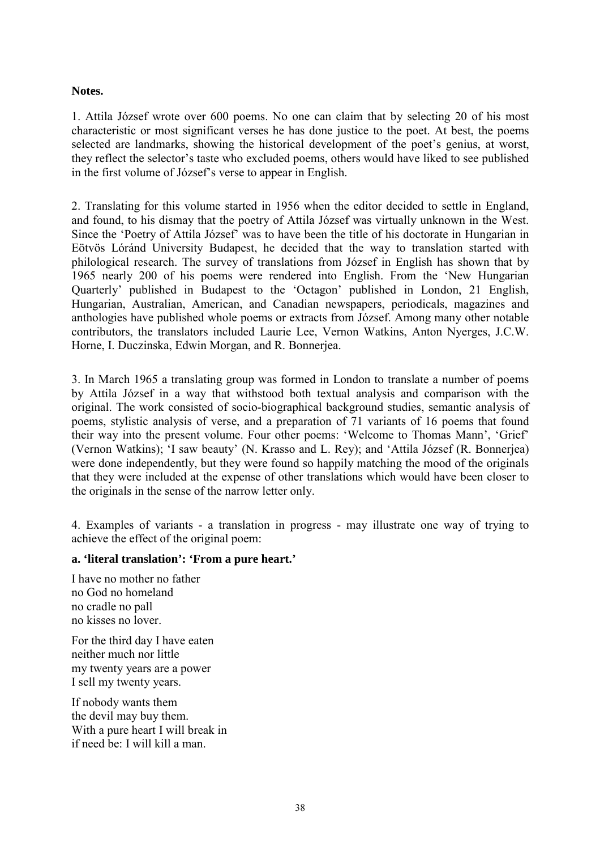#### **Notes.**

1. Attila József wrote over 600 poems. No one can claim that by selecting 20 of his most characteristic or most significant verses he has done justice to the poet. At best, the poems selected are landmarks, showing the historical development of the poet's genius, at worst, they reflect the selector's taste who excluded poems, others would have liked to see published in the first volume of József's verse to appear in English.

2. Translating for this volume started in 1956 when the editor decided to settle in England, and found, to his dismay that the poetry of Attila József was virtually unknown in the West. Since the 'Poetry of Attila József' was to have been the title of his doctorate in Hungarian in Eötvös Lóránd University Budapest, he decided that the way to translation started with philological research. The survey of translations from József in English has shown that by 1965 nearly 200 of his poems were rendered into English. From the 'New Hungarian Quarterly' published in Budapest to the 'Octagon' published in London, 21 English, Hungarian, Australian, American, and Canadian newspapers, periodicals, magazines and anthologies have published whole poems or extracts from József. Among many other notable contributors, the translators included Laurie Lee, Vernon Watkins, Anton Nyerges, J.C.W. Horne, I. Duczinska, Edwin Morgan, and R. Bonnerjea.

3. In March 1965 a translating group was formed in London to translate a number of poems by Attila József in a way that withstood both textual analysis and comparison with the original. The work consisted of socio-biographical background studies, semantic analysis of poems, stylistic analysis of verse, and a preparation of 71 variants of 16 poems that found their way into the present volume. Four other poems: 'Welcome to Thomas Mann', 'Grief' (Vernon Watkins); 'I saw beauty' (N. Krasso and L. Rey); and 'Attila József (R. Bonnerjea) were done independently, but they were found so happily matching the mood of the originals that they were included at the expense of other translations which would have been closer to the originals in the sense of the narrow letter only.

4. Examples of variants - a translation in progress - may illustrate one way of trying to achieve the effect of the original poem:

#### **a. 'literal translation': 'From a pure heart.'**

I have no mother no father no God no homeland no cradle no pall no kisses no lover.

For the third day I have eaten neither much nor little my twenty years are a power I sell my twenty years.

If nobody wants them the devil may buy them. With a pure heart I will break in if need be: I will kill a man.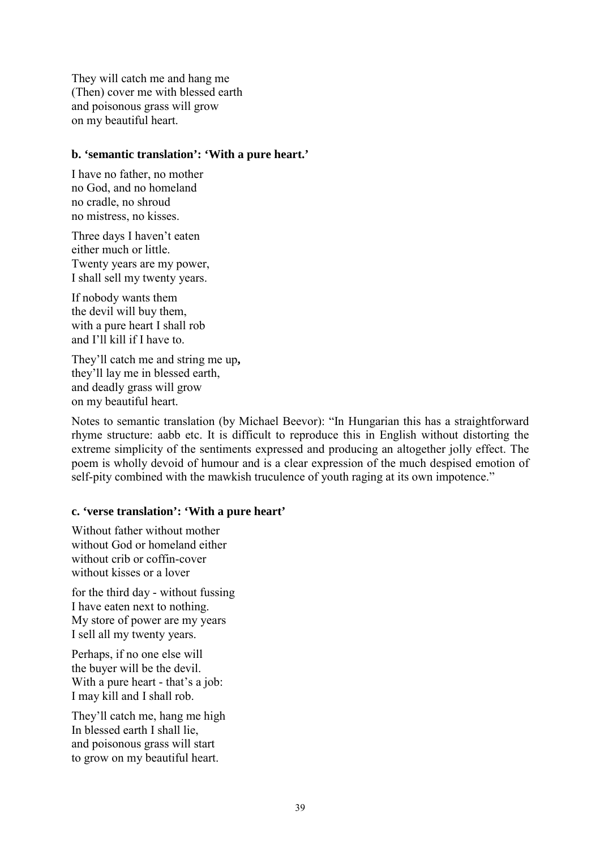They will catch me and hang me (Then) cover me with blessed earth and poisonous grass will grow on my beautiful heart.

#### **b. 'semantic translation': 'With a pure heart.'**

I have no father, no mother no God, and no homeland no cradle, no shroud no mistress, no kisses.

Three days I haven't eaten either much or little. Twenty years are my power, I shall sell my twenty years.

If nobody wants them the devil will buy them, with a pure heart I shall rob and I'll kill if I have to.

They'll catch me and string me up**,** they'll lay me in blessed earth, and deadly grass will grow on my beautiful heart.

Notes to semantic translation (by Michael Beevor): "In Hungarian this has a straightforward rhyme structure: aabb etc. It is difficult to reproduce this in English without distorting the extreme simplicity of the sentiments expressed and producing an altogether jolly effect. The poem is wholly devoid of humour and is a clear expression of the much despised emotion of self-pity combined with the mawkish truculence of youth raging at its own impotence."

#### **c. 'verse translation': 'With a pure heart'**

Without father without mother without God or homeland either without crib or coffin-cover without kisses or a lover

for the third day - without fussing I have eaten next to nothing. My store of power are my years I sell all my twenty years.

Perhaps, if no one else will the buyer will be the devil. With a pure heart - that's a job: I may kill and I shall rob.

They'll catch me, hang me high In blessed earth I shall lie, and poisonous grass will start to grow on my beautiful heart.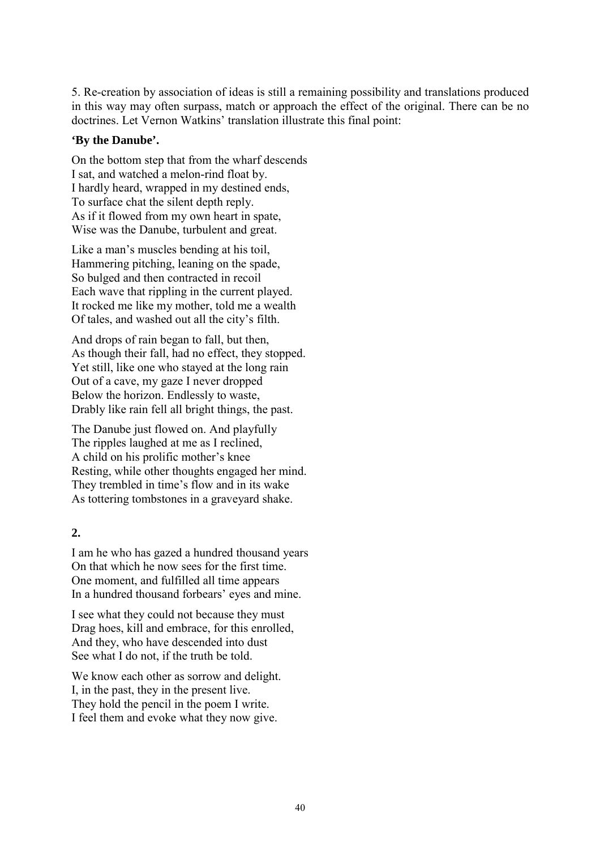5. Re-creation by association of ideas is still a remaining possibility and translations produced in this way may often surpass, match or approach the effect of the original. There can be no doctrines. Let Vernon Watkins' translation illustrate this final point:

## **'By the Danube'.**

On the bottom step that from the wharf descends I sat, and watched a melon-rind float by. I hardly heard, wrapped in my destined ends, To surface chat the silent depth reply. As if it flowed from my own heart in spate, Wise was the Danube, turbulent and great.

Like a man's muscles bending at his toil, Hammering pitching, leaning on the spade, So bulged and then contracted in recoil Each wave that rippling in the current played. It rocked me like my mother, told me a wealth Of tales, and washed out all the city's filth.

And drops of rain began to fall, but then, As though their fall, had no effect, they stopped. Yet still, like one who stayed at the long rain Out of a cave, my gaze I never dropped Below the horizon. Endlessly to waste, Drably like rain fell all bright things, the past.

The Danube just flowed on. And playfully The ripples laughed at me as I reclined, A child on his prolific mother's knee Resting, while other thoughts engaged her mind. They trembled in time's flow and in its wake As tottering tombstones in a graveyard shake.

# **2.**

I am he who has gazed a hundred thousand years On that which he now sees for the first time. One moment, and fulfilled all time appears In a hundred thousand forbears' eyes and mine.

I see what they could not because they must Drag hoes, kill and embrace, for this enrolled, And they, who have descended into dust See what I do not, if the truth be told.

We know each other as sorrow and delight. I, in the past, they in the present live. They hold the pencil in the poem I write. I feel them and evoke what they now give.